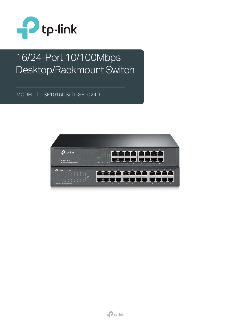

# 16/24-Port 10/100Mbps Desktop/Rackmount Switch

MODEL: TL-SF1016DS/TL-SF1024D

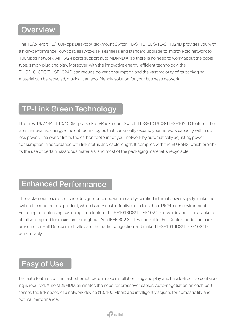### **Overview**

The 16/24-Port 10/100Mbps Desktop/Rackmount Switch TL-SF1016DS/TL-SF1024D provides you with a high-performance, low-cost, easy-to-use, seamless and standard upgrade to improve old network to 100Mbps network. All 16/24 ports support auto MDI/MDIX, so there is no need to worry about the cable type, simply plug and play. Moreover, with the innovative energy-efficient technology, the TL-SF1016DS/TL-SF1024D can reduce power consumption and the vast majority of its packaging material can be recycled, making it an eco-friendly solution for your business network.

## TP-Link Green Technology

This new 16/24-Port 10/100Mbps Desktop/Rackmount Switch TL-SF1016DS/TL-SF1024D features the latest innovative energy-efficient technologies that can greatly expand your network capacity with much less power. The switch limits the carbon footprint of your network by automatically adjusting power consumption in accordance with link status and cable length. It complies with the EU RoHS, which prohibits the use of certain hazardous materials, and most of the packaging material is recyclable.

#### Enhanced Performance

The rack-mount size steel case design, combined with a safety-certified internal power supply, make the switch the most robust product, which is very cost-effective for a less than 16/24-user environment. Featuring non-blocking switching architecture, TL-SF1016DS/TL-SF1024D forwards and filters packets at full wire-speed for maximum throughput. And IEEE 802.3x flow control for Full Duplex mode and backpressure for Half Duplex mode alleviate the traffic congestion and make TL-SF1016DS/TL-SF1024D work reliably.

#### Easy of Use

The auto features of this fast ethernet switch make installation plug and play and hassle-free. No configuring is required. Auto MDI/MDIX eliminates the need for crossover cables. Auto-negotiation on each port senses the link speed of a network device (10, 100 Mbps) and intelligently adjusts for compatibility and optimal performance.